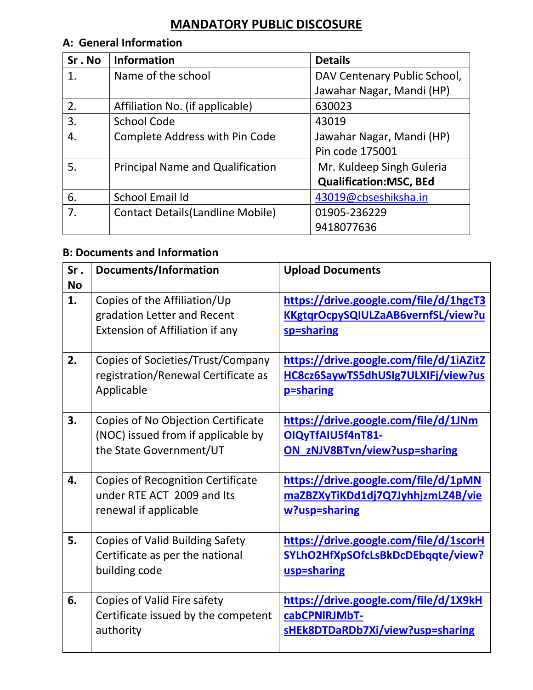# **MANDATORY PUBLIC DISCOSURE**

## **A: General Information**

| Sr.No | <b>Information</b>                       | <b>Details</b>                |
|-------|------------------------------------------|-------------------------------|
| 1.    | Name of the school                       | DAV Centenary Public School,  |
|       |                                          | Jawahar Nagar, Mandi (HP)     |
| 2.    | Affiliation No. (if applicable)          | 630023                        |
| 3.    | <b>School Code</b>                       | 43019                         |
| 4.    | <b>Complete Address with Pin Code</b>    | Jawahar Nagar, Mandi (HP)     |
|       |                                          | Pin code 175001               |
| 5.    | <b>Principal Name and Qualification</b>  | Mr. Kuldeep Singh Guleria     |
|       |                                          | <b>Qualification:MSC, BEd</b> |
| 6.    | School Email Id                          | 43019@cbseshiksha.in          |
| 7.    | <b>Contact Details (Landline Mobile)</b> | 01905-236229                  |
|       |                                          | 9418077636                    |

## **B: Documents and Information**

| Sr.       | Documents/Information                                                                               | <b>Upload Documents</b>                                                                            |  |
|-----------|-----------------------------------------------------------------------------------------------------|----------------------------------------------------------------------------------------------------|--|
| <b>No</b> |                                                                                                     |                                                                                                    |  |
| 1.        | Copies of the Affiliation/Up<br>gradation Letter and Recent<br>Extension of Affiliation if any      | https://drive.google.com/file/d/1hgcT3<br>KKgtgrOcpySQIULZaAB6vernfSL/view?u<br>sp=sharing         |  |
| 2.        | Copies of Societies/Trust/Company<br>registration/Renewal Certificate as<br>Applicable              | https://drive.google.com/file/d/1iAZitZ<br>HC8cz6SaywTS5dhUSIg7ULXIFj/view?us<br>p=sharing         |  |
| 3.        | Copies of No Objection Certificate<br>(NOC) issued from if applicable by<br>the State Government/UT | https://drive.google.com/file/d/1JNm<br>OIQyTfAIU5f4nT81-<br>ON_zNJV8BTvn/view?usp=sharing         |  |
| 4.        | <b>Copies of Recognition Certificate</b><br>under RTE ACT 2009 and Its<br>renewal if applicable     | <u> https://drive.google.com/file/d/1pMN</u><br>maZBZXyTiKDd1dj7Q7JyhhjzmLZ4B/vie<br>w?usp=sharing |  |
| 5.        | <b>Copies of Valid Building Safety</b><br>Certificate as per the national<br>building code          | https://drive.google.com/file/d/1scorH<br>SYLhO2HfXpSOfcLsBkDcDEbqqte/view?<br>usp=sharing         |  |
| 6.        | Copies of Valid Fire safety<br>Certificate issued by the competent<br>authority                     | https://drive.google.com/file/d/1X9kH<br>cabCPNIRJMbT-<br>sHEk8DTDaRDb7Xi/view?usp=sharing         |  |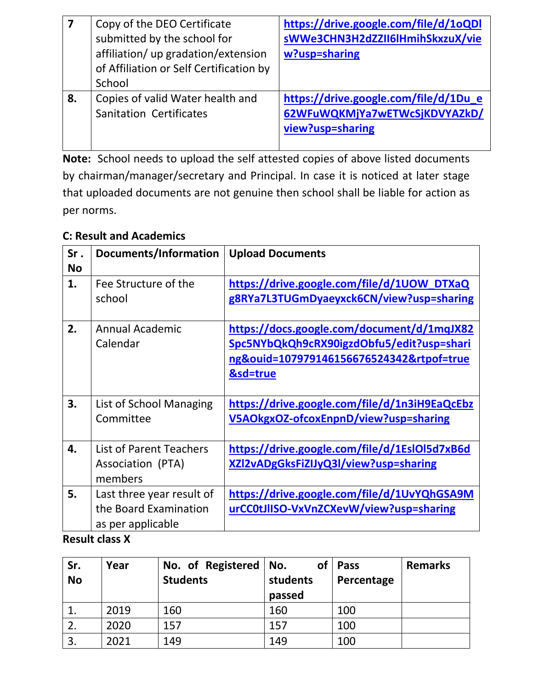| 7  | Copy of the DEO Certificate             | https://drive.google.com/file/d/1oQDl |
|----|-----------------------------------------|---------------------------------------|
|    | submitted by the school for             | sWWe3CHN3H2dZZII6lHmihSkxzuX/vie      |
|    | affiliation/ up gradation/extension     | w?usp=sharing                         |
|    | of Affiliation or Self Certification by |                                       |
|    | School                                  |                                       |
| 8. | Copies of valid Water health and        | https://drive.google.com/file/d/1Du_e |
|    | <b>Sanitation Certificates</b>          | 62WFuWQKMjYa7wETWcSjKDVYAZkD/         |
|    |                                         | view?usp=sharing                      |
|    |                                         |                                       |

**Note:** School needs to upload the self attested copies of above listed documents by chairman/manager/secretary and Principal. In case it is noticed at later stage that uploaded documents are not genuine then school shall be liable for action as per norms.

### **C: Result and Academics**

| Sr.       | Documents/Information          | <b>Upload Documents</b>                              |  |
|-----------|--------------------------------|------------------------------------------------------|--|
| <b>No</b> |                                |                                                      |  |
| 1.        | Fee Structure of the           | https://drive.google.com/file/d/1UOW<br><b>DTXaQ</b> |  |
|           | school                         | g8RYa7L3TUGmDyaeyxck6CN/view?usp=sharing             |  |
|           |                                |                                                      |  |
| 2.        | <b>Annual Academic</b>         | https://docs.google.com/document/d/1mqJX82           |  |
|           | Calendar                       | Spc5NYbQkQh9cRX90igzdObfu5/edit?usp=shari            |  |
|           |                                | ng&ouid=107979146156676524342&rtpof=true             |  |
|           |                                | &sd=true                                             |  |
|           |                                |                                                      |  |
| 3.        | List of School Managing        | https://drive.google.com/file/d/1n3iH9EaQcEbz        |  |
|           | Committee                      | V5AOkgxOZ-ofcoxEnpnD/view?usp=sharing                |  |
|           |                                |                                                      |  |
| 4.        | <b>List of Parent Teachers</b> | https://drive.google.com/file/d/1EslOl5d7xB6d        |  |
|           | Association (PTA)              | XZl2vADgGksFiZIJyQ3l/view?usp=sharing                |  |
|           | members                        |                                                      |  |
| 5.        | Last three year result of      | https://drive.google.com/file/d/1UvYQhGSA9M          |  |
|           | the Board Examination          | urCC0tJlISO-VxVnZCXevW/view?usp=sharing              |  |
|           | as per applicable              |                                                      |  |

### **Result class X**

| Sr.<br><b>No</b> | Year | No. of Registered   No.<br><b>Students</b> | <b>of</b><br>students<br>passed | Pass<br>Percentage | <b>Remarks</b> |
|------------------|------|--------------------------------------------|---------------------------------|--------------------|----------------|
|                  | 2019 | 160                                        | 160                             | 100                |                |
| 2.               | 2020 | 157                                        | 157                             | 100                |                |
| 3.               | 2021 | 149                                        | 149                             | 100                |                |